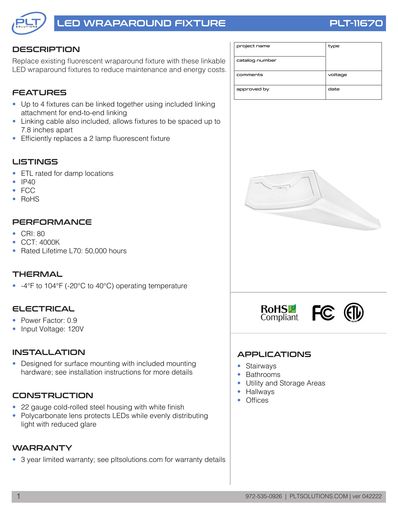

# LED WRAPAROUND FIXTURE **External State State PLT-1167**

### **DESCRIPTION**

Replace existing fluorescent wraparound fixture with these linkable LED wraparound fixtures to reduce maintenance and energy costs.

### **FEATURES**

- Up to 4 fixtures can be linked together using included linking attachment for end-to-end linking
- Linking cable also included, allows fixtures to be spaced up to 7.8 inches apart
- Efficiently replaces a 2 lamp fluorescent fixture

#### **LISTINGS**

- ETL rated for damp locations
- IP40
- FCC
- RoHS

#### **PERFORMANCE**

- CRI: 80
- CCT: 4000K
- Rated Lifetime L70: 50,000 hours

#### **THERMAL**

• -4°F to 104°F (-20°C to 40°C) operating temperature

#### ELECTRICAL

- Power Factor: 0.9
- Input Voltage: 120V

#### INSTALLATION

• Designed for surface mounting with included mounting hardware; see installation instructions for more details

#### **CONSTRUCTION**

- 22 gauge cold-rolled steel housing with white finish
- Polycarbonate lens protects LEDs while evenly distributing light with reduced glare

#### WARRANTY

• 3 year limited warranty; see pltsolutions.com for warranty details

| project name   | type    |
|----------------|---------|
| catalog number |         |
| comments       | voltage |
| approved by    | date    |





#### APPLICATIONS

- Stairways
- Bathrooms
- Utility and Storage Areas
- Hallways
- Offices